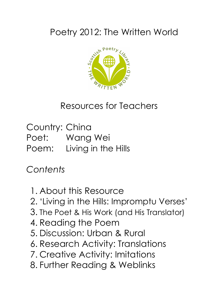# Poetry 2012: The Written World



#### Resources for Teachers

Country: China Poet: Wang Wei Poem: Living in the Hills

*Contents*

- 1. About this Resource
- 2. 'Living in the Hills: Impromptu Verses'
- 3. The Poet & His Work (and His Translator)
- 4. Reading the Poem
- 5. Discussion: Urban & Rural
- 6. Research Activity: Translations
- 7. Creative Activity: Imitations
- 8. Further Reading & Weblinks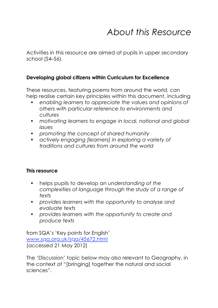## *About this Resource*

Activities in this resource are aimed at pupils in upper secondary school (S4–S6).

#### **Developing global citizens within Curriculum for Excellence**

These resources, featuring poems from around the world, can help realise certain key principles within this document, including

- *• enabling learners to appreciate the values and opinions of others with particular reference to environments and cultures*
- *• motivating learners to engage in local, national and global issues*
- *• promoting the concept of shared humanity*
- *• actively engaging [learners] in exploring a variety of traditions and cultures from around the world*

#### **This resource**

- helps pupils to develop an *understanding of the complexities of language through the study of a range of texts*
- *• provides learners with the opportunity to analyse and evaluate texts*
- *• provides learners with the opportunity to create and produce texts*

from SQA's 'Key points for English' www.sqa.org.uk/sqa/45672.html (accessed 21 May 2012)

The 'Discussion' topic below may also relevant to Geography, in the context of "[bringing] together the natural and social sciences".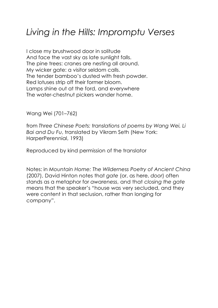### *Living in the Hills: Impromptu Verses*

I close my brushwood door in solitude And face the vast sky as late sunlight falls. The pine trees: cranes are nesting all around. My wicker gate: a visitor seldom calls. The tender bamboo's dusted with fresh powder. Red lotuses strip off their former bloom. Lamps shine out at the ford, and everywhere The water-chestnut pickers wander home.

Wang Wei (701–762)

from *Three Chinese Poets: translations of poems by Wang Wei, Li Bai and Du Fu*, translated by Vikram Seth (New York: HarperPerennial, 1993)

Reproduced by kind permission of the translator

Notes: in *Mountain Home: The Wilderness Poetry of Ancient China* (2007), David Hinton notes that *gate* (or, as here, *door*) often stands as a metaphor for *awareness*, and that *closing the gate* means that the speaker's "house was very secluded, and they were content in that seclusion, rather than longing for company".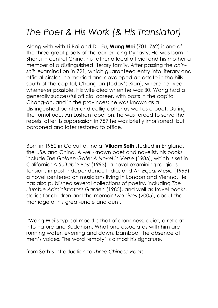# *The Poet & His Work (& His Translator)*

Along with with Li Bai and Du Fu, **Wang Wei** (701–762) is one of the three great poets of the earlier Tang Dynasty. He was born in Shensi in central China, his father a local official and his mother a member of a distinguished literary family. After passing the *chinshih* examination in 721, which guaranteed entry into literary and official circles, he married and developed an estate in the hills south of the capital, Chang-an (today's Xian), where he lived whenever possible. His wife died when he was 30. Wang had a generally successful official career, with posts in the capital Chang-an, and in the provinces; he was known as a distinguished painter and calligrapher as well as a poet. During the tumultuous An Lushan rebellion, he was forced to serve the rebels; after its suppression in 757 he was briefly imprisoned, but pardoned and later restored to office.

Born in 1952 in Calcutta, India, **Vikram Seth** studied in England, the USA and China. A well-known poet and novelist, his books include *The Golden Gate: A Novel in Verse* (1986), which is set in California; *A Suitable Boy* (1993), a novel examining religious tensions in post-independence India; and *An Equal Music* (1999), a novel centered on musicians living in London and Vienna. He has also published several collections of poetry, including *The Humble Administrator's Garden* (1985), and well as travel books, stories for children and the memoir *Two Lives* (2005), about the marriage of his great-uncle and aunt.

"Wang Wei's typical mood is that of aloneness, quiet, a retreat into nature and Buddhism. What one associates with him are running water, evening and dawn, bamboo, the absence of men's voices. The word 'empty' is almost his signature."

from Seth's Introduction to *Three Chinese Poets*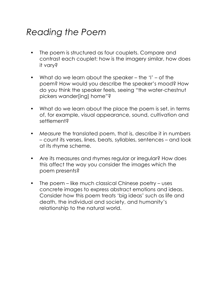## *Reading the Poem*

- The poem is structured as four couplets. Compare and contrast each couplet: how is the imagery similar, how does it vary?
- What do we learn about the speaker the 'I' of the poem? How would you describe the speaker's mood? How do you think the speaker feels, seeing "the water-chestnut pickers wander[ing] home"?
- What do we learn about the place the poem is set, in terms of, for example, visual appearance, sound, cultivation and settlement?
- *• Measure* the translated poem, that is, describe it in numbers – count its verses, lines, beats, syllables, sentences – and look at its rhyme scheme.
- Are its measures and rhymes regular or irregular? How does this affect the way you consider the images which the poem presents?
- The poem like much classical Chinese poetry uses concrete images to express abstract emotions and ideas. Consider how this poem treats 'big ideas' such as life and death, the individual and society, and humanity's relationship to the natural world.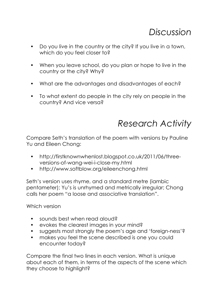#### *Discussion*

- Do you live in the country or the city? If you live in a town, which do you feel closer to?
- When you leave school, do you plan or hope to live in the country or the city? Why?
- What are the advantages and disadvantages of each?
- To what extent do people in the city rely on people in the country? And vice versa?

#### *Research Activity*

Compare Seth's translation of the poem with versions by Pauline Yu and Eileen Chong:

- http://firstknownwhenlost.blogspot.co.uk/2011/06/threeversions-of-wang-wei-i-close-my.html
- http://www.softblow.org/eileenchong.html

Seth's version uses rhyme, and a standard metre (iambic pentameter); Yu's is unrhymed and metrically irregular; Chong calls her poem "a loose and associative translation".

Which version

- sounds best when read aloud?
- evokes the clearest images in your mind?
- suggests most strongly the poem's age and 'foreign-ness'?
- makes you feel the scene described is one you could encounter today?

Compare the final two lines in each version. What is unique about each of them, in terms of the aspects of the scene which they choose to highlight?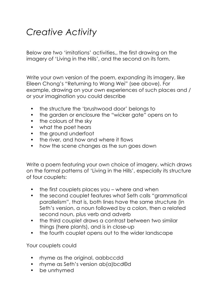## *Creative Activity*

Below are two 'imitations' activities,, the first drawing on the imagery of 'Living in the Hills', and the second on its form.

Write your own version of the poem, *expanding* its imagery, like Eileen Chong's "Returning to Wang Wei" (see above). For example, drawing on your own experiences of such places and / or your imagination you could describe

- the structure the 'brushwood door' belongs to
- the garden or enclosure the "wicker gate" opens on to
- the colours of the sky
- what the poet hears
- the ground underfoot
- the river, and how and where it flows
- how the scene changes as the sun goes down

Write a poem featuring your own choice of imagery, which draws on the formal patterns of 'Living in the Hills', especially its structure of four couplets:

- the first couplets places you where and when
- the second couplet features what Seth calls "grammatical parallelism", that is, both lines have the same structure (in Seth's version, a noun followed by a colon, then a related second noun, plus verb and adverb
- the third couplet draws a contrast between two similar things (here plants), and is in close-up
- the fourth couplet opens out to the wider landscape

Your couplets could

- rhyme as the original, aabbccdd
- rhyme as Seth's version ab(a)bcd©d
- be unrhymed